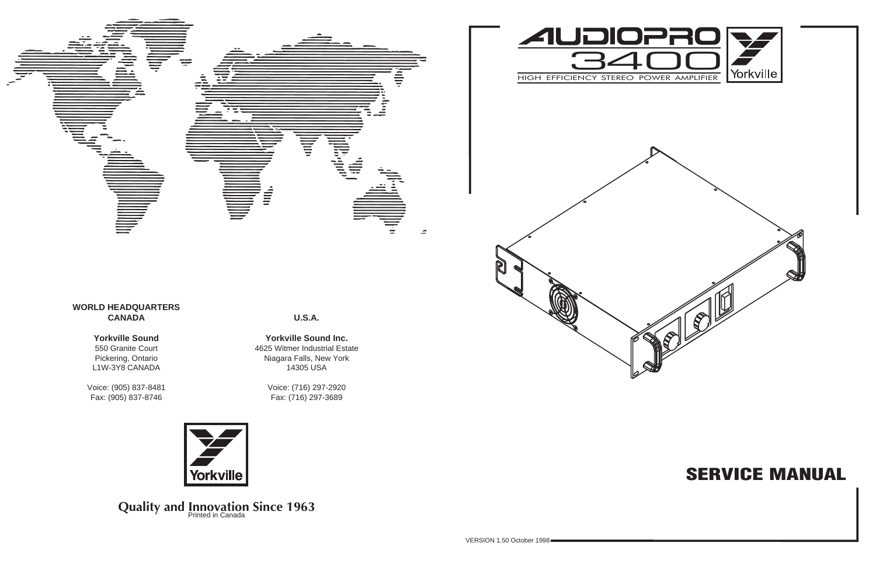# **SERVICE MANUAL**



**U.S.A.**

**Yorkville Sound Inc.** 4625 Witmer Industrial Estate Niagara Falls, New York 14305 USA

> Voice: (716) 297-2920 Fax: (716) 297-3689



**Quality and Innovation Since 1963** 





#### **Yorkville Sound**

550 Granite Court Pickering, Ontario L1W-3Y8 CANADA

Voice: (905) 837-8481 Fax: (905) 837-8746

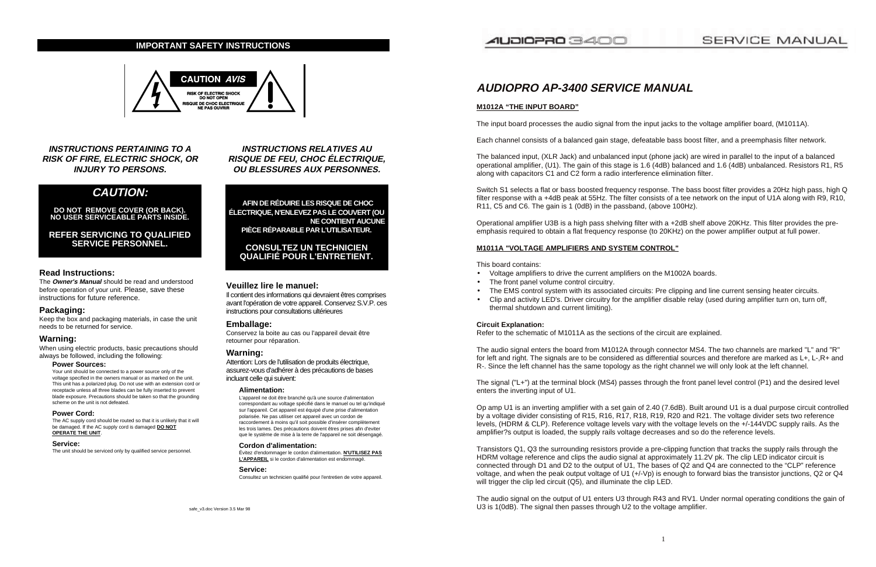**INSTRUCTIONS PERTAINING TO A RISK OF FIRE, ELECTRIC SHOCK, OR INJURY TO PERSONS.**

### **CAUTION:**

**DO NOT REMOVE COVER (OR BACK). NO USER SERVICEABLE PARTS INSIDE.**

**REFER SERVICING TO QUALIFIED SERVICE PERSONNEL.**

#### **Read Instructions:**

The **Owner's Manual** should be read and understood before operation of your unit. Please, save these instructions for future reference.

#### **Packaging:**

Keep the box and packaging materials, in case the unit needs to be returned for service.

#### **Warning:**

When using electric products, basic precautions should always be followed, including the following:

#### **Power Sources:**

Your unit should be connected to a power source only of the voltage specified in the owners manual or as marked on the unit. This unit has a polarized plug. Do not use with an extension cord or receptacle unless all three blades can be fully inserted to prevent blade exposure. Precautions should be taken so that the grounding scheme on the unit is not defeated.

#### **Power Cord:**

The AC supply cord should be routed so that it is unlikely that it will be damaged. If the AC supply cord is damaged **DO NOT OPERATE THE UNIT**.

#### **Service:**

The unit should be serviced only by qualified service personnel.

**INSTRUCTIONS RELATIVES AU RISQUE DE FEU, CHOC ÉLECTRIQUE, OU BLESSURES AUX PERSONNES.**

**AFIN DE RÉDUIRE LES RISQUE DE CHOC ÉLECTRIQUE, N'ENLEVEZ PAS LE COUVERT (OU NE CONTIENT AUCUNE PIÈCE RÉPARABLE PAR L'UTILISATEUR.**

### **CONSULTEZ UN TECHNICIEN QUALIFIÉ POUR L'ENTRETIENT.**

#### **Veuillez lire le manuel:**

Il contient des informations qui devraient êtres comprises avant l'opération de votre appareil. Conservez S.V.P. ces instructions pour consultations ultérieures

#### **Emballage:**

Conservez la boite au cas ou l'appareil devait être retourner pour réparation.

#### **Warning:**

Attention: Lors de l'utilisation de produits électrique, assurez-vous d'adhérer à des précautions de bases incluant celle qui suivent:

#### **Alimentation:**

L'appareil ne doit être branché qu'à une source d'alimentation correspondant au voltage spécifié dans le manuel ou tel qu'indiqué sur l'appareil. Cet appareil est équipé d'une prise d'alimentation polarisée. Ne pas utiliser cet appareil avec un cordon de raccordement à moins qu'il soit possible d'insérer complètement les trois lames. Des précautions doivent êtres prises afin d'eviter que le système de mise à la terre de l'appareil ne soit désengagé.

#### **Cordon d'alimentation:**

Évitez d'endommager le cordon d'alimentation. **N'UTILISEZ PAS L'APPAREIL** si le cordon d'alimentation est endommagé.

#### **Service:**

Consultez un technicien qualifié pour l'entretien de votre appareil.

Transistors Q1, Q3 the surrounding resistors provide a pre-clipping function that tracks the supply rails through the HDRM voltage reference and clips the audio signal at approximately 11.2V pk. The clip LED indicator circuit is connected through D1 and D2 to the output of U1, The bases of Q2 and Q4 are connected to the "CLP" reference voltage, and when the peak output voltage of U1 (+/-Vp) is enough to forward bias the transistor junctions, Q2 or Q4 will trigger the clip led circuit (Q5), and illuminate the clip LED.

#### **IMPORTANT SAFETY INSTRUCTIONS**



### AUDIOPRO 3400

## **AUDIOPRO AP-3400 SERVICE MANUAL**

#### **M1012A "THE INPUT BOARD"**

The input board processes the audio signal from the input jacks to the voltage amplifier board, (M1011A).

Each channel consists of a balanced gain stage, defeatable bass boost filter, and a preemphasis filter network.

The balanced input, (XLR Jack) and unbalanced input (phone jack) are wired in parallel to the input of a balanced operational amplifier, (U1). The gain of this stage is 1.6 (4dB) balanced and 1.6 (4dB) unbalanced. Resistors R1, R5 along with capacitors C1 and C2 form a radio interference elimination filter.

Switch S1 selects a flat or bass boosted frequency response. The bass boost filter provides a 20Hz high pass, high Q filter response with a +4dB peak at 55Hz. The filter consists of a tee network on the input of U1A along with R9, R10, R11, C5 and C6. The gain is 1 (0dB) in the passband, (above 100Hz).

Operational amplifier U3B is a high pass shelving filter with a +2dB shelf above 20KHz. This filter provides the preemphasis required to obtain a flat frequency response (to 20KHz) on the power amplifier output at full power.

#### **M1011A "VOLTAGE AMPLIFIERS AND SYSTEM CONTROL"**

This board contains:

- Voltage amplifiers to drive the current amplifiers on the M1002A boards.
- The front panel volume control circuitry.
- thermal shutdown and current limiting).

• The EMS control system with its associated circuits: Pre clipping and line current sensing heater circuits. • Clip and activity LED's. Driver circuitry for the amplifier disable relay (used during amplifier turn on, turn off,

#### **Circuit Explanation:**

Refer to the schematic of M1011A as the sections of the circuit are explained.

The audio signal enters the board from M1012A through connector MS4. The two channels are marked "L" and "R" for left and right. The signals are to be considered as differential sources and therefore are marked as L+, L-,R+ and R-. Since the left channel has the same topology as the right channel we will only look at the left channel.

The signal ("L+") at the terminal block (MS4) passes through the front panel level control (P1) and the desired level enters the inverting input of U1.

Op amp U1 is an inverting amplifier with a set gain of 2.40 (7.6dB). Built around U1 is a dual purpose circuit controlled by a voltage divider consisting of R15, R16, R17, R18, R19, R20 and R21. The voltage divider sets two reference levels, (HDRM & CLP). Reference voltage levels vary with the voltage levels on the +/-144VDC supply rails. As the amplifier?s output is loaded, the supply rails voltage decreases and so do the reference levels.

The audio signal on the output of U1 enters U3 through R43 and RV1. Under normal operating conditions the gain of U3 is 1(0dB). The signal then passes through U2 to the voltage amplifier.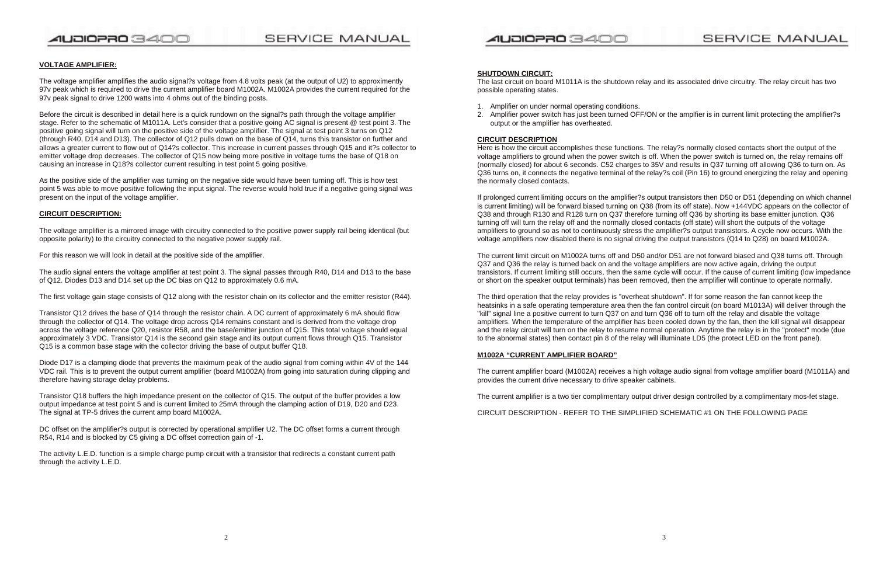### AUDIOPRO 3400

### **SERVICE MANUAL**

### AUDIOPRO 3400

#### **VOLTAGE AMPLIFIER:**

The voltage amplifier amplifies the audio signal?s voltage from 4.8 volts peak (at the output of U2) to approximently 97v peak which is required to drive the current amplifier board M1002A. M1002A provides the current required for the 97v peak signal to drive 1200 watts into 4 ohms out of the binding posts.

Before the circuit is described in detail here is a quick rundown on the signal?s path through the voltage amplifier stage. Refer to the schematic of M1011A. Let's consider that a positive going AC signal is present @ test point 3. The positive going signal will turn on the positive side of the voltage amplifier. The signal at test point 3 turns on Q12 (through R40, D14 and D13). The collector of Q12 pulls down on the base of Q14, turns this transistor on further and allows a greater current to flow out of Q14?s collector. This increase in current passes through Q15 and it?s collector to emitter voltage drop decreases. The collector of Q15 now being more positive in voltage turns the base of Q18 on causing an increase in Q18?s collector current resulting in test point 5 going positive.

As the positive side of the amplifier was turning on the negative side would have been turning off. This is how test point 5 was able to move positive following the input signal. The reverse would hold true if a negative going signal was present on the input of the voltage amplifier.

#### **CIRCUIT DESCRIPTION:**

The voltage amplifier is a mirrored image with circuitry connected to the positive power supply rail being identical (but opposite polarity) to the circuitry connected to the negative power supply rail.

For this reason we will look in detail at the positive side of the amplifier.

The audio signal enters the voltage amplifier at test point 3. The signal passes through R40, D14 and D13 to the base of Q12. Diodes D13 and D14 set up the DC bias on Q12 to approximately 0.6 mA.

The first voltage gain stage consists of Q12 along with the resistor chain on its collector and the emitter resistor (R44).

Transistor Q12 drives the base of Q14 through the resistor chain. A DC current of approximately 6 mA should flow through the collector of Q14. The voltage drop across Q14 remains constant and is derived from the voltage drop across the voltage reference Q20, resistor R58, and the base/emitter junction of Q15. This total voltage should equal approximately 3 VDC. Transistor Q14 is the second gain stage and its output current flows through Q15. Transistor Q15 is a common base stage with the collector driving the base of output buffer Q18.

Diode D17 is a clamping diode that prevents the maximum peak of the audio signal from coming within 4V of the 144 VDC rail. This is to prevent the output current amplifier (board M1002A) from going into saturation during clipping and therefore having storage delay problems.

Transistor Q18 buffers the high impedance present on the collector of Q15. The output of the buffer provides a low output impedance at test point 5 and is current limited to 25mA through the clamping action of D19, D20 and D23. The signal at TP-5 drives the current amp board M1002A.

DC offset on the amplifier?s output is corrected by operational amplifier U2. The DC offset forms a current through R54, R14 and is blocked by C5 giving a DC offset correction gain of -1.

The activity L.E.D. function is a simple charge pump circuit with a transistor that redirects a constant current path through the activity L.E.D.

#### **SHUTDOWN CIRCUIT:**

The last circuit on board M1011A is the shutdown relay and its associated drive circuitry. The relay circuit has two possible operating states.

- 1. Amplifier on under normal operating conditions.
- output or the amplifier has overheated.

2. Amplifier power switch has just been turned OFF/ON or the amplfier is in current limit protecting the amplifier?s

#### **CIRCUIT DESCRIPTION**

Here is how the circuit accomplishes these functions. The relay?s normally closed contacts short the output of the voltage amplifiers to ground when the power switch is off. When the power switch is turned on, the relay remains off (normally closed) for about 6 seconds. C52 charges to 35V and results in Q37 turning off allowing Q36 to turn on. As Q36 turns on, it connects the negative terminal of the relay?s coil (Pin 16) to ground energizing the relay and opening the normally closed contacts.

If prolonged current limiting occurs on the amplifier?s output transistors then D50 or D51 (depending on which channel is current limiting) will be forward biased turning on Q38 (from its off state). Now +144VDC appears on the collector of Q38 and through R130 and R128 turn on Q37 therefore turning off Q36 by shorting its base emitter junction. Q36 turning off will turn the relay off and the normally closed contacts (off state) will short the outputs of the voltage amplifiers to ground so as not to continuously stress the amplifier?s output transistors. A cycle now occurs. With the voltage amplifiers now disabled there is no signal driving the output transistors (Q14 to Q28) on board M1002A.

The current limit circuit on M1002A turns off and D50 and/or D51 are not forward biased and Q38 turns off. Through Q37 and Q36 the relay is turned back on and the voltage amplifiers are now active again, driving the output transistors. If current limiting still occurs, then the same cycle will occur. If the cause of current limiting (low impedance or short on the speaker output terminals) has been removed, then the amplifier will continue to operate normally.

The third operation that the relay provides is "overheat shutdown". If for some reason the fan cannot keep the heatsinks in a safe operating temperature area then the fan control circuit (on board M1013A) will deliver through the "kill" signal line a positive current to turn Q37 on and turn Q36 off to turn off the relay and disable the voltage amplifiers. When the temperature of the amplifier has been cooled down by the fan, then the kill signal will disappear and the relay circuit will turn on the relay to resume normal operation. Anytime the relay is in the "protect" mode (due to the abnormal states) then contact pin 8 of the relay will illuminate LD5 (the protect LED on the front panel).

#### **M1002A "CURRENT AMPLIFIER BOARD"**

The current amplifier board (M1002A) receives a high voltage audio signal from voltage amplifier board (M1011A) and provides the current drive necessary to drive speaker cabinets.

The current amplifier is a two tier complimentary output driver design controlled by a complimentary mos-fet stage.

CIRCUIT DESCRIPTION - REFER TO THE SIMPLIFIED SCHEMATIC #1 ON THE FOLLOWING PAGE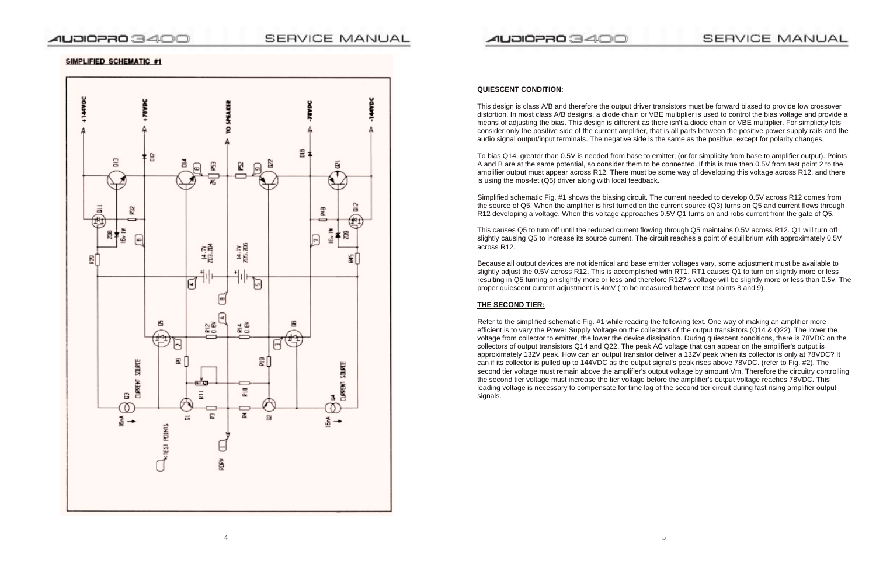

#### SIMPLIFIED SCHEMATIC #1



#### **QUIESCENT CONDITION:**

This design is class A/B and therefore the output driver transistors must be forward biased to provide low crossover distortion. In most class A/B designs, a diode chain or VBE multiplier is used to control the bias voltage and provide a means of adjusting the bias. This design is different as there isn't a diode chain or VBE multiplier. For simplicity lets consider only the positive side of the current amplifier, that is all parts between the positive power supply rails and the audio signal output/input terminals. The negative side is the same as the positive, except for polarity changes.

To bias Q14, greater than 0.5V is needed from base to emitter, (or for simplicity from base to amplifier output). Points A and B are at the same potential, so consider them to be connected. If this is true then 0.5V from test point 2 to the amplifier output must appear across R12. There must be some way of developing this voltage across R12, and there is using the mos-fet (Q5) driver along with local feedback.

Simplified schematic Fig. #1 shows the biasing circuit. The current needed to develop 0.5V across R12 comes from the source of Q5. When the amplifier is first turned on the current source (Q3) turns on Q5 and current flows through R12 developing a voltage. When this voltage approaches 0.5V Q1 turns on and robs current from the gate of Q5.

This causes Q5 to turn off until the reduced current flowing through Q5 maintains 0.5V across R12. Q1 will turn off slightly causing Q5 to increase its source current. The circuit reaches a point of equilibrium with approximately 0.5V across R12.

Because all output devices are not identical and base emitter voltages vary, some adjustment must be available to slightly adjust the 0.5V across R12. This is accomplished with RT1. RT1 causes Q1 to turn on slightly more or less resulting in Q5 turning on slightly more or less and therefore R12? s voltage will be slightly more or less than 0.5v. The proper quiescent current adjustment is 4mV ( to be measured between test points 8 and 9).

#### **THE SECOND TIER:**

Refer to the simplified schematic Fig. #1 while reading the following text. One way of making an amplifier more efficient is to vary the Power Supply Voltage on the collectors of the output transistors (Q14 & Q22). The lower the voltage from collector to emitter, the lower the device dissipation. During quiescent conditions, there is 78VDC on the collectors of output transistors Q14 and Q22. The peak AC voltage that can appear on the amplifier's output is approximately 132V peak. How can an output transistor deliver a 132V peak when its collector is only at 78VDC? It can if its collector is pulled up to 144VDC as the output signal's peak rises above 78VDC. (refer to Fig. #2). The second tier voltage must remain above the amplifier's output voltage by amount Vm. Therefore the circuitry controlling the second tier voltage must increase the tier voltage before the amplifier's output voltage reaches 78VDC. This leading voltage is necessary to compensate for time lag of the second tier circuit during fast rising amplifier output signals.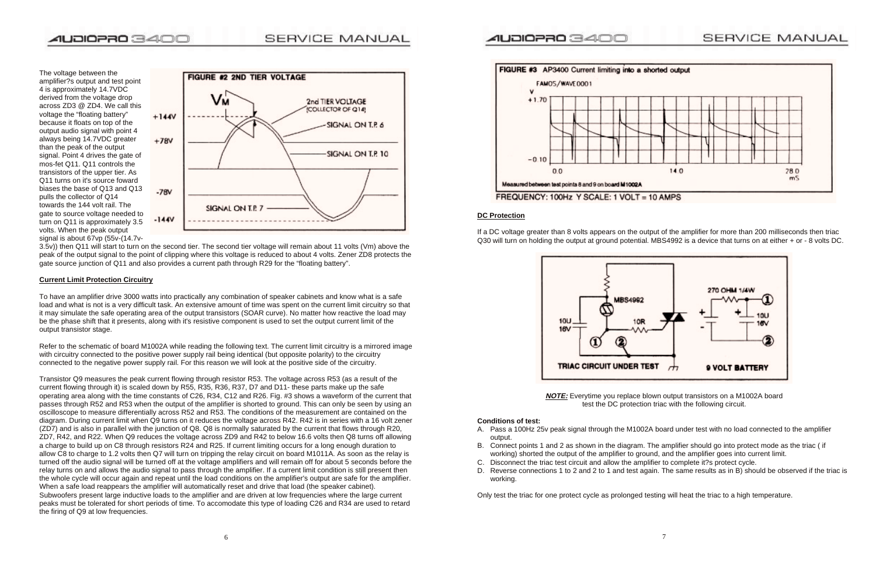

The voltage between the amplifier?s output and test point 4 is approximately 14.7VDC derived from the voltage drop across ZD3 @ ZD4. We call this voltage the "floating battery" because it floats on top of the output audio signal with point 4 always being 14.7VDC greater than the peak of the output signal. Point 4 drives the gate of mos-fet Q11. Q11 controls the transistors of the upper tier. As Q11 turns on it's source foward biases the base of Q13 and Q13 pulls the collector of Q14 towards the 144 volt rail. The gate to source voltage needed to turn on Q11 is approximately 3.5 volts. When the peak output signal is about 67vp (55v-(14.7v-



3.5v)) then Q11 will start to turn on the second tier. The second tier voltage will remain about 11 volts (Vm) above the peak of the output signal to the point of clipping where this voltage is reduced to about 4 volts. Zener ZD8 protects the gate source junction of Q11 and also provides a current path through R29 for the "floating battery".

#### **Current Limit Protection Circuitry**

To have an amplifier drive 3000 watts into practically any combination of speaker cabinets and know what is a safe load and what is not is a very difficult task. An extensive amount of time was spent on the current limit circuitry so that it may simulate the safe operating area of the output transistors (SOAR curve). No matter how reactive the load may be the phase shift that it presents, along with it's resistive component is used to set the output current limit of the output transistor stage.

Refer to the schematic of board M1002A while reading the following text. The current limit circuitry is a mirrored image with circuitry connected to the positive power supply rail being identical (but opposite polarity) to the circuitry connected to the negative power supply rail. For this reason we will look at the positive side of the circuitry.

Transistor Q9 measures the peak current flowing through resistor R53. The voltage across R53 (as a result of the current flowing through it) is scaled down by R55, R35, R36, R37, D7 and D11- these parts make up the safe operating area along with the time constants of C26, R34, C12 and R26. Fig. #3 shows a waveform of the current that passes through R52 and R53 when the output of the amplifier is shorted to ground. This can only be seen by using an oscilloscope to measure differentially across R52 and R53. The conditions of the measurement are contained on the diagram. During current limit when Q9 turns on it reduces the voltage across R42. R42 is in series with a 16 volt zener (ZD7) and is also in parallel with the junction of Q8. Q8 is normally saturated by the current that flows through R20, ZD7, R42, and R22. When Q9 reduces the voltage across ZD9 and R42 to below 16.6 volts then Q8 turns off allowing a charge to build up on C8 through resistors R24 and R25. If current limiting occurs for a long enough duration to allow C8 to charge to 1.2 volts then Q7 will turn on tripping the relay circuit on board M1011A. As soon as the relay is turned off the audio signal will be turned off at the voltage amplifiers and will remain off for about 5 seconds before the relay turns on and allows the audio signal to pass through the amplifier. If a current limit condition is still present then the whole cycle will occur again and repeat until the load conditions on the amplifier's output are safe for the amplifier. When a safe load reappears the amplifier will automatically reset and drive that load (the speaker cabinet). Subwoofers present large inductive loads to the amplifier and are driven at low frequencies where the large current peaks must be tolerated for short periods of time. To accomodate this type of loading C26 and R34 are used to retard the firing of Q9 at low frequencies.



FREQUENCY: 100Hz Y SCALE: 1 VOLT = 10 AMPS

#### **DC Protection**

If a DC voltage greater than 8 volts appears on the output of the amplifier for more than 200 milliseconds then triac Q30 will turn on holding the output at ground potential. MBS4992 is a device that turns on at either + or - 8 volts DC.



**NOTE:** Everytime you replace blown output transistors on a M1002A board test the DC protection triac with the following circuit.

#### **Conditions of test:**

A. Pass a 100Hz 25v peak signal through the M1002A board under test with no load connected to the amplifier

- output.
- B. Connect points 1 and 2 as shown in the diagram. The amplifier should go into protect mode as the triac ( if working) shorted the output of the amplifier to ground, and the amplifier goes into current limit. C. Disconnect the triac test circuit and allow the amplifier to complete it?s protect cycle.
- 
- D. Reverse connections 1 to 2 and 2 to 1 and test again. The same results as in B) should be observed if the triac is working.

Only test the triac for one protect cycle as prolonged testing will heat the triac to a high temperature.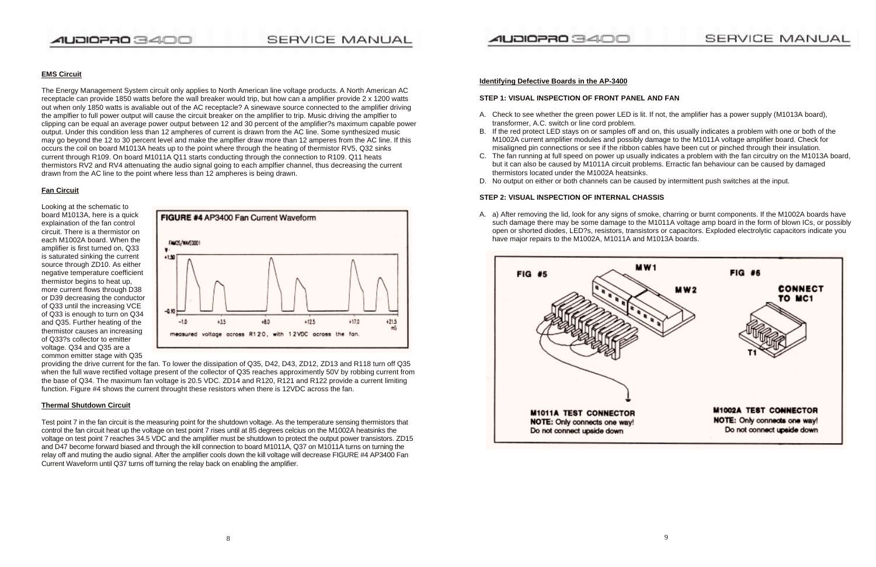

#### **EMS Circuit**

The Energy Management System circuit only applies to North American line voltage products. A North American AC receptacle can provide 1850 watts before the wall breaker would trip, but how can a amplifier provide 2 x 1200 watts out when only 1850 watts is avaliable out of the AC receptacle? A sinewave source connected to the amplifier driving the amplfier to full power output will cause the circuit breaker on the amplifier to trip. Music driving the amplfier to clipping can be equal an average power output between 12 and 30 percent of the amplifier?s maximum capable power output. Under this condition less than 12 ampheres of current is drawn from the AC line. Some synthesized music may go beyond the 12 to 30 percent level and make the amplfier draw more than 12 amperes from the AC line. If this occurs the coil on board M1013A heats up to the point where through the heating of thermistor RV5, Q32 sinks current through R109. On board M1011A Q11 starts conducting through the connection to R109. Q11 heats thermistors RV2 and RV4 attenuating the audio signal going to each amplfier channel, thus decreasing the current drawn from the AC line to the point where less than 12 ampheres is being drawn.

#### **Fan Circuit**

Looking at the schematic to board M1013A, here is a quick explaination of the fan control circuit. There is a thermistor on each M1002A board. When the amplifier is first turned on, Q33 is saturated sinking the current source through ZD10. As either negative temperature coefficient thermistor begins to heat up, more current flows through D38 or D39 decreasing the conductor of Q33 until the increasing VCE of Q33 is enough to turn on Q34 and Q35. Further heating of the thermistor causes an increasing of Q33?s collector to emitter voltage. Q34 and Q35 are a common emitter stage with Q35



providing the drive current for the fan. To lower the dissipation of Q35, D42, D43, ZD12, ZD13 and R118 turn off Q35 when the full wave rectified voltage present of the collector of Q35 reaches approximently 50V by robbing current from the base of Q34. The maximum fan voltage is 20.5 VDC. ZD14 and R120, R121 and R122 provide a current limiting function. Figure #4 shows the current throught these resistors when there is 12VDC across the fan.

#### **Thermal Shutdown Circuit**

Test point 7 in the fan circuit is the measuring point for the shutdown voltage. As the temperature sensing thermistors that control the fan circuit heat up the voltage on test point 7 rises until at 85 degrees celcius on the M1002A heatsinks the voltage on test point 7 reaches 34.5 VDC and the amplifier must be shutdown to protect the output power transistors. ZD15 and D47 become forward biased and through the kill connection to board M1011A, Q37 on M1011A turns on turning the relay off and muting the audio signal. After the amplifier cools down the kill voltage will decrease FIGURE #4 AP3400 Fan Current Waveform until Q37 turns off turning the relay back on enabling the amplifier.

#### **Identifying Defective Boards in the AP-3400**

### **STEP 1: VISUAL INSPECTION OF FRONT PANEL AND FAN**

A. Check to see whether the green power LED is lit. If not, the amplifier has a power supply (M1013A board),

B. If the red protect LED stays on or samples off and on, this usually indicates a problem with one or both of the M1002A current amplifier modules and possibly damage to the M1011A voltage amplifier board. Check for misaligned pin connections or see if the ribbon cables have been cut or pinched through their insulation. C. The fan running at full speed on power up usually indicates a problem with the fan circuitry on the M1013A board, but it can also be caused by M1011A circuit problems. Erractic fan behaviour can be caused by damaged

- transformer, A.C. switch or line cord problem.
- 
- thermistors located under the M1002A heatsinks.
- 

D. No output on either or both channels can be caused by intermittent push switches at the input.

#### **STEP 2: VISUAL INSPECTION OF INTERNAL CHASSIS**

A. a) After removing the lid, look for any signs of smoke, charring or burnt components. If the M1002A boards have such damage there may be some damage to the M1011A voltage amp board in the form of blown ICs, or possibly open or shorted diodes, LED?s, resistors, transistors or capacitors. Exploded electrolytic capacitors indicate you

have major repairs to the M1002A, M1011A and M1013A boards.

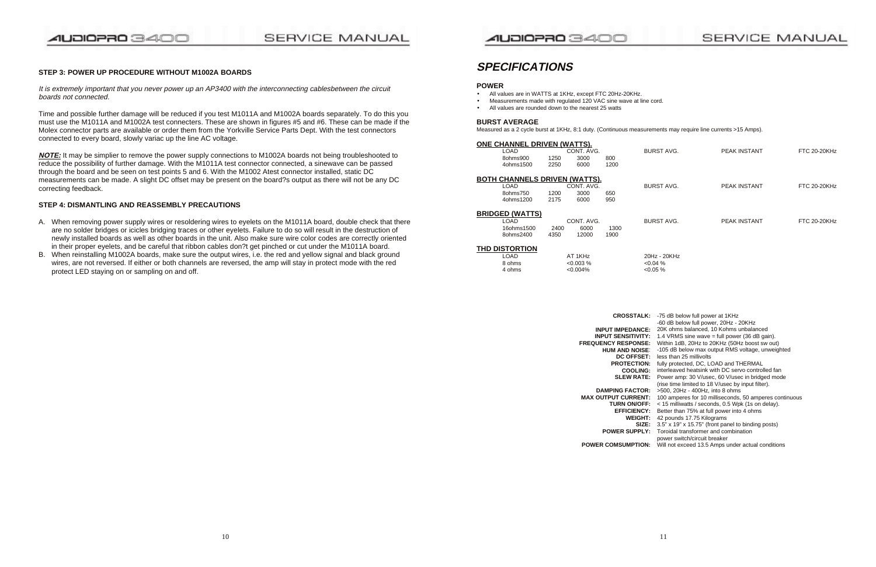### AUDIOPRO 3400

### SERVICE MANUAL

## SERVICE MANUAL

#### **STEP 3: POWER UP PROCEDURE WITHOUT M1002A BOARDS**

It is extremely important that you never power up an AP3400 with the interconnecting cablesbetween the circuit boards not connected.

Time and possible further damage will be reduced if you test M1011A and M1002A boards separately. To do this you must use the M1011A and M1002A test connecters. These are shown in figures #5 and #6. These can be made if the Molex connector parts are available or order them from the Yorkville Service Parts Dept. With the test connectors connected to every board, slowly variac up the line AC voltage.

**NOTE:** It may be simplier to remove the power supply connections to M1002A boards not being troubleshooted to reduce the possibility of further damage. With the M1011A test connector connected, a sinewave can be passed through the board and be seen on test points 5 and 6. With the M1002 Atest connector installed, static DC measurements can be made. A slight DC offset may be present on the board?s output as there will not be any DC correcting feedback.

#### **STEP 4: DISMANTLING AND REASSEMBLY PRECAUTIONS**

- A. When removing power supply wires or resoldering wires to eyelets on the M1011A board, double check that there are no solder bridges or icicles bridging traces or other eyelets. Failure to do so will result in the destruction of newly installed boards as well as other boards in the unit. Also make sure wire color codes are correctly oriented in their proper eyelets, and be careful that ribbon cables don?t get pinched or cut under the M1011A board.
- B. When reinstalling M1002A boards, make sure the output wires, i.e. the red and yellow signal and black ground wires, are not reversed. If either or both channels are reversed, the amp will stay in protect mode with the red protect LED staying on or sampling on and off.

### AUDIOPRO 3400

### **SPECIFICATIONS**

#### **POWER**

- All values are in WATTS at 1KHz, except FTC 20Hz-20KHz.
- •Measurements made with regulated 120 VAC sine wave at line cord.
- All values are rounded down to the nearest 25 watts

#### **BURST AVERAGE**

Measured as a 2 cycle burst at 1KHz, 8:1 duty. (Continuous measurements may require line currents >15 Amps).

#### **ONE CHANNEL DRIVEN (WATTS).**

| LOAD.     | CONT. AVG. |      |      |  |  |
|-----------|------------|------|------|--|--|
| 80hms900  | 1250       | 3000 | 800  |  |  |
| 4ohms1500 | 2250       | 6000 | 1200 |  |  |

#### **BOTH CHANNELS DRIVEN (WATTS).**

| IANNLL DNIVLN (WATTS).  |      |            |      |                   |                     |                     |
|-------------------------|------|------------|------|-------------------|---------------------|---------------------|
| LOAD                    |      | CONT. AVG. |      | <b>BURST AVG.</b> | <b>PEAK INSTANT</b> | <b>FTC 20-20KHz</b> |
| 8ohms900                | 1250 | 3000       | 800  |                   |                     |                     |
| 4ohms1500               | 2250 | 6000       | 1200 |                   |                     |                     |
|                         |      |            |      |                   |                     |                     |
| HANNELS DRIVEN (WATTS). |      |            |      |                   |                     |                     |
| LOAD                    |      | CONT. AVG. |      | <b>BURST AVG.</b> | <b>PEAK INSTANT</b> | <b>FTC 20-20KHz</b> |
| 8ohms750                | 1200 | 3000       | 650  |                   |                     |                     |
| 4ohms1200               | 2175 | 6000       | 950  |                   |                     |                     |
|                         |      |            |      |                   |                     |                     |
| :D (WATTS)              |      |            |      |                   |                     |                     |
| LOAD                    |      | CONT. AVG. |      | <b>BURST AVG.</b> | <b>PEAK INSTANT</b> | <b>FTC 20-20KHz</b> |
| 16ohms1500              | 2400 | 6000       | 1300 |                   |                     |                     |
| 8ohms2400               | 4350 | 12000      | 1900 |                   |                     |                     |

| LOAD.     | CONT. AVG. |      |     |  |
|-----------|------------|------|-----|--|
| 8ohms750  | 1200       | 3000 | 650 |  |
| 4ohms1200 | 2175       | 6000 | 950 |  |

| <b>BRIDGED (WATTS)</b> |      |            |      |
|------------------------|------|------------|------|
| LOAD.                  |      | CONT. AVG. |      |
| 16ohms1500             | 2400 | 6000       | 1300 |
| 8ohms2400              | 4350 | 12000      | 1900 |

#### **THD DISTORTION**

| LOAD   | AT 1KHz     | 20Hz - 20KHz |
|--------|-------------|--------------|
| 8 ohms | $<0.003\%$  | $0.04\%$     |
| 4 ohms | $< 0.004\%$ | $0.05\%$     |

- **CROSSTALK:** -75 dB below full power at 1KHz
	- -60 dB below full power, 20Hz 20KHz
- **INPUT IMPEDANCE:** 20K ohms balanced, 10 Kohms unbalanced
- **INPUT SENSITIVITY:** 1.4 VRMS sine wave = full power (36 dB gain).
- **FREQUENCY RESPONSE:** Within 1dB, 20Hz to 20KHz (50Hz boost sw out)
	- **HUM AND NOISE**: -105 dB below max output RMS voltage, unweighted
		- **DC OFFSET:** less than 25 millivolts
		- **PROTECTION:** fully protected, DC, LOAD and THERMAL
		- **COOLING:** interleaved heatsink with DC servo controlled fan
		- **SLEW RATE:** Power amp: 30 V/usec, 60 V/usec in bridged mode (rise time limited to 18 V/usec by input filter).
	- **DAMPING FACTOR:** >500, 20Hz 400Hz, into 8 ohms
- **MAX OUTPUT CURRENT:** 100 amperes for 10 milliseconds, 50 amperes continuous
	- **TURN ON/OFF:** < 15 milliwatts / seconds, 0.5 Wpk (1s on delay).
	- **EFFICIENCY:** Better than 75% at full power into 4 ohms
		- **WEIGHT:** 42 pounds 17.75 Kilograms
			- **SIZE:** 3.5" x 19" x 15.75" (front panel to binding posts)
	- **POWER SUPPLY:** Toroidal transformer and combination
		- power switch/circuit breaker
- **POWER COMSUMPTION:** Will not exceed 13.5 Amps under actual conditions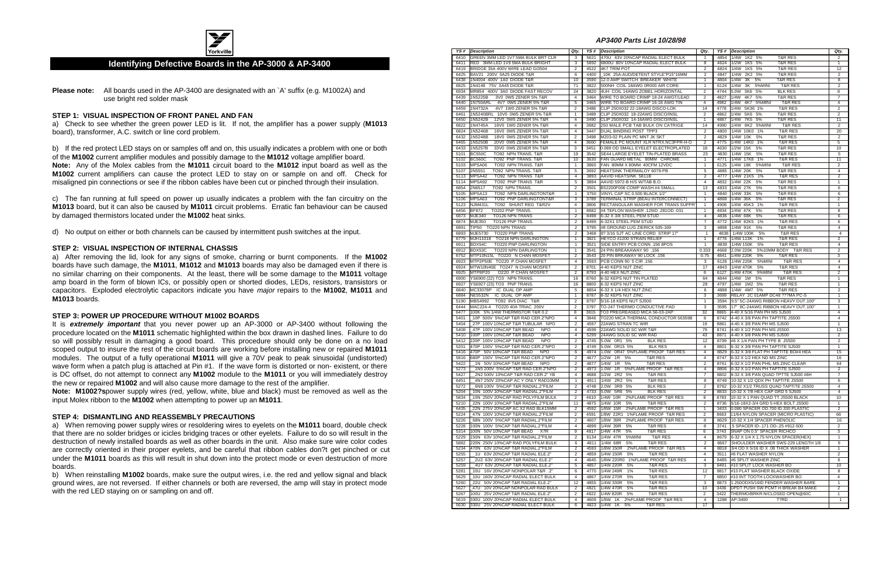

#### **Identifying Defective Boards in the AP-3000 & AP-3400**

**Please note:** All boards used in the AP-3400 are designated with an `A' suffix (e.g. M1002A) and use bright red solder mask

#### **STEP 1: VISUAL INSPECTION OF FRONT PANEL AND FAN**

a) Check to see whether the green power LED is lit. If not, the amplifier has a power supply (**M1013** board), transformer, A.C. switch or line cord problem.

b) If the red protect LED stays on or samples off and on, this usually indicates a problem with one or both of the **M1002** current amplifier modules and possibly damage to the **M1012** voltage amplifier board. **Note:** Any of the Molex cables from the **M1011** circuit board to the **M1012** input board as well as the **M1002** current amplifiers can cause the protect LED to stay on or sample on and off. Check for misaligned pin connections or see if the ribbon cables have been cut or pinched through their insulation.

c) The fan running at full speed on power up usually indicates a problem with the fan circuitry on the **M1013** board, but it can also be caused by **M1011** circuit problems. Erratic fan behaviour can be caused by damaged thermistors located under the **M1002** heat sinks.

d) No output on either or both channels can be caused by intermittent push switches at the input.

#### **STEP 2: VISUAL INSPECTION OF INTERNAL CHASSIS**

**Note: M1002?s** power supply wires (red, yellow, white, blue and black) must be removed as well as the input Molex ribbon to the **M1002** when attempting to power up an **M1011**.

a) After removing the lid, look for any signs of smoke, charring or burnt components. If the **M1002** boards have such damage, the **M1011**, **M1012** and **M1013** boards may also be damaged even if there is no similar charring on their components. At the least, there will be some damage to the **M1011** voltage amp board in the form of blown ICs, or possibly open or shorted diodes, LEDs, resistors, transistors or capacitors. Exploded electrolytic capacitors indicate you have major repairs to the **M1002**, **M1011** and **M1013** boards.

#### **STEP 3: POWER UP PROCEDURE WITHOUT M1002 BOARDS**

It is **extremely important** that you never power up an AP-3000 or AP-3400 without following the procedure located on the **M1011** schematic highlighted within the box drawn in dashed lines. Failure to do so will possibly result in damaging a good board. This procedure should only be done on a no load scoped output to insure the rest of the circuit boards are working before installing new or repaired **M1011** modules. The output of a fully operational **M1011** will give a 70V peak to peak sinusoidal (undistorted) wave form when a patch plug is attached at Pin #1. If the wave form is distorted or non- existent, or there is DC offset, do not attempt to connect any **M1002** module to the **M1011** or you will immediately destroy the new or repaired **M1002** and will also cause more damage to the rest of the amplifier.

#### **STEP 4: DISMANTLING AND REASSEMBLY PRECAUTIONS**

a) When removing power supply wires or resoldering wires to eyelets on the **M1011** board, double check that there are no solder bridges or icicles bridging traces or other eyelets. Failure to do so will result in the destruction of newly installed boards as well as other boards in the unit. Also make sure wire color codes are correctly oriented in their proper eyelets, and be careful that ribbon cables don?t get pinched or cut under the **M1011** boards as this will result in shut down into the protect mode or even destruction of more boards.

b) When reinstalling **M1002** boards, make sure the output wires, i.e. the red and yellow signal and black ground wires, are not reversed. If either channels or both are reversed, the amp will stay in protect mode with the red LED staying on or sampling on and off.

**AP3400 Parts List 10/28/98**

| YS # | <b>Description</b>                                  | Qty.           |      | <b>YS#</b> Description                | Qty.           |      | YS# Description                            | Qty.                    |
|------|-----------------------------------------------------|----------------|------|---------------------------------------|----------------|------|--------------------------------------------|-------------------------|
| 6410 | GREEN 3MM LED 1V7 5MA BULK BRT CLR                  | 3              | 5621 | 470U 63V 20%CAP RADIAL ELECT BULK     | -1             |      | 4854 1/4W 1K2 5%<br><b>T&amp;R RES</b>     | 2                       |
| 6411 | RED 3MM LED 1V9 5MA BULK BRIGHT                     | 3              | 5892 | 6800U 80V 10%CAP RADIAL ELECT BULK    | 8              | 4624 | 1/2W<br>1K5 5%<br><b>T&amp;R RES</b>       | $\mathbf{1}$            |
| 6419 | BRIDGE 35A 400V WIRE LEAD GI3504                    | $\overline{2}$ | 4522 | <b>4K7 TRIM POT</b>                   | $\overline{2}$ |      | 4824 1/4W 1K5 5%<br><b>T&amp;R RES</b>     | 12                      |
| 6425 | BAV21 200V 0A25 DIODE T&R                           | 6              | 4400 | 10K 25A-AUD/DETENT STYLE"P15"16MM     | $\overline{2}$ | 4847 | 1/4W<br>2K2 5%<br><b>T&amp;R RES</b>       | $\overline{2}$          |
| 6438 | 1N4004 400V 1A0 DIODE T&R                           | 10             | 3590 | 12.0 AMP SWITCH BREAKER WHITE         | $\mathbf{1}$   | 4804 | 1/4W<br>3K<br>5%<br><b>T&amp;R RES</b>     | 8                       |
| 6825 | 1N4148 75V 0A45 DIODE T&R                           | 71             | 3822 | 500NH COIL 18AWG 0R000 AIR CORE       | 1              | 6124 | 1/4W<br>3K<br>5%MINI<br><b>T&amp;R RES</b> | $\overline{2}$          |
| 6934 | MR854 400V 3A0 DIODE FAST RECOV                     | 24             | 3820 | 4UH COIL 14AWG ZOBEL HORIZONTAL       | $\overline{2}$ | 4744 | 5.0W<br>3K6 5%<br><b>BLK RES</b>           | 8                       |
| 6439 | 1N5225B<br>3V0 0W5 ZENER 5% T&R                     | 4              | 3464 | WIRE TO BOARD CRIMP 18-24 AWGT/LEAD   | 2              | 4827 | 1/4W<br>4K7 5%<br><b>T&amp;R RES</b>       | $\overline{7}$          |
| 6440 | 1N750ARL<br>4V7 0W5 ZENER 5% T&R                    | 5              | 3465 | WIRE TO BOARD CRIMP 16-18 AWG TIN     | $\overline{4}$ | 4982 | 1/4W<br>4K7 5%MINI<br><b>T&amp;R RES</b>   | $\overline{4}$          |
| 6459 | 1N4732A<br>4V7 1W0 ZENER 5% T&R                     | $\overline{2}$ | 3486 | CLIP 250X032 22-18AWG DISCO-LOK       | 14             | 4778 | 1/4W<br>5K36 1%<br><b>T&amp;R RES</b>      | $\overline{2}$          |
| 6461 | 1N5240BRL 10V0 0W5 ZENER 5% T&R                     | $\mathbf{1}$   | 3489 | CLIP 250X032 18-22AWG DISCO/INSL      | $\overline{2}$ | 4862 | 1/4W<br>5K6 5%<br><b>T&amp;R RES</b>       | $\overline{2}$          |
| 6450 | 1N5242B<br>12V0 0W5 ZENER 5% T&R                    | 4              | 3490 | CLIP 250X032 14-16AWG DISCO/INSL      | $\mathbf{1}$   | 4887 | 1/4W 7K5 5%<br><b>T&amp;R RES</b>          | 11                      |
| 6822 | 1N4745A<br>16V0 1W0 ZENER 5% T&R                    | 4              | 3682 | 250 MALE PCB TAB BULK ON CATRIGE      | 14             | 4990 | 1/4W 8K2 5%MINI<br><b>T&amp;R RES</b>      | $\overline{2}$          |
| 6824 | 1N5246B<br>16V0 0W5 ZENER 5% T&R                    | $\overline{4}$ | 3447 | DUAL BINDING POST TPP3                | $\overline{2}$ | 4800 | 1/4W 10K0 1%<br><b>T&amp;R RES</b>         | 20                      |
| 6432 | 1N5248B<br>18V0 0W5 ZENER 5% T&R                    | $\overline{2}$ | 3498 | M203-02 PLAIN PC MNT JK SKT           | 2              | 4829 | 1/4W 10K<br>5%<br><b>T&amp;R RES</b>       | 2                       |
| 6465 | 1N5250B<br>20V0 0W5 ZENER 5% T&R                    | $\overline{4}$ | 3660 | FEMALE PC MOUNT XLR NTRX.NC3FPR-H-O   | $\overline{2}$ | 4775 | 1/4W 14K0 1%<br><b>T&amp;R RES</b>         | 5                       |
| 6433 | 1N5257B<br>33V0 0W5 ZENER 5% T&R                    | 3              | 3451 | 0.089 OD SMALL EYELET ELECTROPLATED   | 18             | 4630 | 1/2W 15K 5%<br><b>T&amp;R RES</b>          | 10                      |
| 5101 | <b>BC550C</b><br>TO92 NPN TRANS. T&R                | 19             | 3542 | SE44 LARGE EYELET TIN-PLATED BRASS    | 23             | 4830 | 1/4W 15K<br>5%<br><b>T&amp;R RES</b>       | 5                       |
| 5102 | <b>BC560C</b><br>TO92 PNP TRANS. T&R                | 10             | 3630 | FAN GUARD METAL 80MM CHROME           | $\mathbf{1}$   | 4771 | 1/4W 17K8 1%<br><b>T&amp;R RES</b>         | 11                      |
| 5103 | MPSA06<br>TO92 NPN TRANS. T&R                       | $\overline{1}$ | 3860 | FAN 80MM X 80MM 40CFM 12VDC           | $\mathbf{1}$   | 6125 | 1/4W 18K 5%MINI<br><b>T&amp;R RES</b>      | $\overline{2}$          |
| 5107 | 2N5551<br>TO92 NPN TRANS. T&R                       | 5              | 3692 | HEATSINK THERMALOY 6079-PB            | 5              | 4885 | 1/4W 20K<br>5%<br><b>T&amp;R RES</b>       | $\overline{4}$          |
| 5113 | MPSA42<br>TO92 NPN TRANS T&R                        | 4              | 3893 | AAVID HEATSINK 5811B                  | $\overline{2}$ | 4777 | 1/4W 21K5 1%<br><b>T&amp;R RES</b>         | $\overline{2}$          |
| 5114 | MPSA92<br>TO92 PNP TRANS T&R                        | 5              | 3894 | AAVID 5972-B H/S W/TAB B.O.           | $\overline{4}$ | 4832 | 1/4W 22K 5%<br><b>T&amp;R RES</b>          | $\mathbf{1}$            |
| 6854 | 2N6517<br>TO92 NPN TRANS.                           | 2              | 3501 | B52200F006 COMP WASH #4 SMALL         | 13             | 4833 | 1/4W 27K<br>5%<br><b>T&amp;R RES</b>       | 6                       |
| 5105 | MPSA <sub>13</sub><br>TO92 NPN DARLINGTONT&R        | $\mathbf{1}$   | 3750 | VINYL CAP SC 0.500 BLACK 1/2"         | $\mathbf{1}$   | 4840 | 1/4W 33K<br>5%<br><b>T&amp;R RES</b>       | 6                       |
| 5106 | MPSA63<br>TO92 PNP DARLINGTONT&R                    | 3              | 3789 | TERMINAL STRIP (BEAU INTERCONNECT)    | 1              | 4868 | 1/4W 36K 5%<br><b>T&amp;R RES</b>          | $\overline{\mathbf{c}}$ |
| 5123 | <b>NJM431L</b><br>TO92 SHUNT REG T&R2V              | $\overline{4}$ | 3806 | RECTANGULAR WASHER FOR TRANS SUPPR    | $\mathbf{1}$   | 4908 | 1/4W 45K3 1%<br><b>T&amp;R RES</b>         | $\mathbf{1}$            |
| 6456 | <b>BF872</b><br>TO202 PNP TRANS.                    | $\overline{1}$ | 8682 | #4 TEFLON WASHER .125ID .281OD .031   | 1              | 4834 | 1/4W 47K 5%<br><b>T&amp;R RES</b>          | 8                       |
| 6873 | <b>MJE340</b><br>TO126 NPN TRANS                    | $\overline{2}$ | 8498 | 6-32 X 3/8 STEEL PEM STUD             | $\overline{4}$ | 4836 | 1/4W 68K<br>5%<br><b>T&amp;R RES</b>       | 6                       |
| 6874 | <b>MJE350</b><br>TO126 PNP TRANS.                   | $\overline{2}$ | 8499 | 6-32X1 STEEL PEM STUD                 | $\overline{7}$ | 4772 | 1/4W 82K5 1%<br><b>T&amp;R RES</b>         | 6                       |
| 6891 | TIP50 TO220 NPN TRANS                               | $\overline{2}$ | 3795 | #8 GROUND LUG ZIERICK 505-169         | 3              | 4898 | 1/4W 91K 5%<br><b>T&amp;R RES</b>          | 4                       |
| 6893 | MJE5730<br>TO220 PNP TRANS                          | $\overline{2}$ | 3468 | 8? 3/16 SJT AC LINE CORD STRIP 17"    | $\mathbf{1}$   | 4838 | 1/4W 100K 5%<br><b>T&amp;R RES</b>         | 4                       |
| 6779 | MJH11018 TO218 NPN DARLINGTON                       | 1              | 3821 | HEYCO #1200 STRAIN RELIEF             | $\mathbf{1}$   | 4776 | 1/4W 113K<br>1%<br><b>T&amp;R RES</b>      | $\overline{2}$          |
| 6911 | BDX54C<br>TO220 PNP DARLINGTON                      | $\mathbf{1}$   | 3521 | SIDE ENTRY PCB CONN .156 8POS         | 1              | 4839 | 1/4W 150K<br>5%<br><b>T&amp;R RES</b>      | 4                       |
| 6912 | BDX53C<br>TO220 NPN DARLINGTON                      | $\mathbf{1}$   | 3541 | 24 PIN BREAKAWAY 90 .156              | 0.333          | 4668 | 2.0W 220K<br>5%10MM BODY T&R RES           | $\overline{2}$          |
| 6752 | MTP10N15L TO220 N CHAN MOSFET                       | $\overline{2}$ | 3543 | 20 PIN BRKAWAY 90 LOCK .156           | 0.75           | 4841 | 1/4W 220K<br>5%<br><b>T&amp;R RES</b>      | 3                       |
| 6923 | MTP2P50E TO220 P CHAN MOSFET                        | 4              | 3593 | PCB CONN 90 5 CIR .156                | 3              | 6126 | 1/4W 220K 5%MINI<br><b>T&amp;R RES</b>     | $\overline{4}$          |
| 6924 | MTW10N40E TO247 N CHAN MOSFET                       | $\overline{2}$ | 8701 | 4-40 KEPS NUT ZINC                    | 17             | 4843 | 1/4W 470K 5%<br><b>T&amp;R RES</b>         | $\overline{4}$          |
| 6925 | MTP8P20<br>O220 P CHAN MOSFET                       | $\overline{2}$ | 8793 | 4-40 HEX NUT ZINC                     | 6              | 6127 | 1/4W 470K<br>5%MINI<br><b>T&amp;R RES</b>  | $\overline{2}$          |
| 6900 | YS6900 (22) TO3 NPN TRANS.                          | 16             | 8760 | 6-32 KEPS NUT TIN PLATED              | 64             | 4844 | 1/4W 1M<br>5%<br><b>T&amp;R RES</b>        | 1                       |
| 6927 | YS6927 (23) TO3 PNP TRANS                           | 16             | 8800 | 6-32 KEPS NUT ZINC                    | 28             | 4797 | 1/4W 1M2 5%<br><b>T&amp;R RES</b>          | $\mathbf{1}$            |
| 6840 | MC33078P IC DUAL OP AMP                             | 5              | 8854 | 6-32 X 1/4 HEX NUT ZINC               | 6              | 4888 | 1/4W 4M7 5%<br><b>T&amp;R RES</b>          | $\overline{2}$          |
| 6884 | <b>NE5532N</b><br>IC DUAL OP AMP                    | $\mathbf{1}$   | 8787 | 8-32 KEPS NUT ZINC                    | 3              | 3699 | RELAY 2C 01AMP DC48 ???MA PC-S             | $\mathbf{1}$            |
| 5190 | MBS4992<br>TO92 8V5 DIAC T&R                        | $\overline{2}$ | 8797 | 5/16-18 KEPS NUT SJ500                | $\mathbf{1}$   | 3594 | 9.5" 5C-24AWG RIBBON HEAVY DUT.100"        | 3                       |
| 6444 | MAC224-4 TO220 40A TRIAC 200V                       | $\overline{2}$ | 3797 | TO-247 THERMO CONDUCTIVE PAD          | 3              | 3595 | 17" 8C-24AWG RIBBON HEAVY DUT.100"         | $\mathbf{1}$            |
| 6477 | 100K 5% 1/4W THERMISTOR T&R 0.2                     | 8              | 3815 | TO3 PREGREASED MICA 56-03-2AP         | 32             | 8865 | 4-40 X 5/16 PAN PH MS SJ500                | $\overline{4}$          |
| 5401 | 10P 500V 5%CAP T&R RAD CER.2"NPO                    | 4              | 3846 | TO220 MICA THERMAL CONDUCTOR 56359B   | 8              | 8742 | 4-40 X 3/8 PAN PH TAPTITE JS500            | 4                       |
| 5404 | 27P 100V 10%CAP T&R TUBULAR NPO                     | $\overline{c}$ | 4597 | 22AWG STRAN TC WIR                    | 19             | 8861 | 4-40 X 3/8 PAN PH MS SJ500                 | $\mathbf{1}$            |
| 5408 | 47P 100V 10%CAP T&R BEAD<br><b>NPO</b>              | 4              | 4599 | 22AWG SOLID SC WIR T&R                | 79             | 8741 | 4-40 X 1/2 PAN PH MS JS500                 | 13                      |
| 5410 | <b>NPO</b><br>100P 100V 10%CAP T&R BEAD             | $\overline{4}$ | 5299 | 24AWG SOLID SC WIR RAD                | 43             | 8871 | 4-40 X 5/8 PAN PH MS SJ500                 | $\overline{2}$          |
| 5412 | 220P 100V 10%CAP T&R BEAD<br><b>NPO</b>             | 2              | 4745 | 5.0W 0R1 5%<br><b>BLK RES</b>         | 12             | 8799 | #6 X 1/4 PAN PH TYPE B JS500               | 2                       |
| 5201 | 470P 100V 5%CAP T&R RAD CER.2"NPO                   | $\overline{2}$ | 4749 | 5.0W 0R15 5%<br><b>BLK RES</b>        | 4              | 8801 | 6-32 X 3/8 PAN PH TAPTITE SJ500            | $\mathbf{1}$            |
| 5416 | 470P<br><b>NPO</b><br>50V 10%CAP T&R BEAD           | 6              | 4974 | 1.0W OR47 5%FLAME PROOF T&R RES       | $\overline{4}$ | 8829 | 6-32 X 3/8 FLAT PH TAPTITE BO#4 HEA        | 15                      |
| 5816 | 680P 100V 5%CAP T&R RAD CER.2"NPO                   | $\overline{2}$ | 4677 | 1/2W 1R 5%<br><b>T&amp;R RES</b>      | 4              | 8747 | 6-32 X 1/2 HEX ND MS ZINC                  | 16                      |
| 5422 | 1 <sup>N</sup><br>50V 10%CAP T&R BEAD<br><b>NPO</b> | $\overline{2}$ | 4877 | 1/4W 1R 5%<br><b>T&amp;R RES</b>      | $\overline{2}$ | 8761 | 6-32 X 1/2 PAN PHIL MS ZINC CLEAR          | 64                      |
| 5273 | 1N5 200V 5%CAP T&R RAD CER.2"NPO                    | 2              |      | 4973 1.0W 1R 5%FLAME PROOF T&R RES    | 4              |      | 8806 6-32 X 1/2 PAN PH TAPTITE SJ500       | 2                       |
| 5427 | 2N2 500V 10%CAP T&R RAD CER.2" YB                   | 4              | 4688 | 1/2W 2R2 5%<br><b>T&amp;R RES</b>     | 7              | 8802 | 8-32 X 3/8 PAN QUAD TPTTE SJ500 #6H        | 7                       |
| 6451 | 4N7 250V 20%CAP AC Y ONLY RAD10MM                   | $\mathbf{1}$   | 4911 | 1/4W 2R2 5%<br><b>T&amp;R RES</b>     | 8              |      | 8749 10-32 X 1/2 QDX PH TAPTITE JS500      | 6                       |
| 5272 | 6N8 100V 5%CAP T&R RADIAL.2"FILM                    | $\overline{2}$ | 4748 | 2.0W 3R9 5%<br><b>BLK RES</b>         | $\overline{c}$ |      | 8762 10-32 X1/2 TRUSS QUAD TAPTITE JS500   | 4                       |
| 5204 | 10N 100V 10%CAP T&R RADIAL.2"FILM                   | $\overline{2}$ | 4733 | <b>BLK RES</b><br>5.0W 5R6 5%         | $\overline{c}$ |      | 8833 10-32 X 7/8 HEX CAP GRD 5 SJ500       | 4                       |
| 5834 | 10N 250V 20%CAP RAD POLYFILM BULK                   | $\overline{2}$ | 4610 | 2%FLAME PROOF T&R RES<br>1/4W 10R     | 8              | 8783 | 10-32 X 1 PAN QUAD TT JS500 BLACK          | 10                      |
| 5210 | _22N_100V 10%CAP T&R RADIAL.2"FILM                  | 11             | 4875 | 1/4W 10R 5%<br><b>T&amp;R RES</b>     | 2              | 8736 | 5/16-18X2-3/4 GRD 5 HEX BOLT JS500         | 1                       |
| 6435 | 22N 275V 20%CAP AC X2 RAD BLK15MM                   | $\overline{2}$ | 4592 | 1/8W 15R<br>2%FLAME PROOF T&R RES     | 1              | 3433 | 0.080 SPACER OD.700 ID.330 PLASTIC         | $\overline{c}$          |
| 5224 | 47N 100V 10%CAP T&R RADIAL.2"FILM                   | 2              | 4591 | 1/8W 22R1<br>1%FLAME PROOF T&R RES    | 2              | 8663 | 11/64 NYLON SPACER (MICRO PLASTIC)         | 66                      |
| 5226 | _68N_100V_5%CAP T&R RADIAL.2"FILM                   | 2              | 4607 | 1/8W 39R<br>2%FLAME PROOF T&R RES     | 8              |      | 8629 10-32 X 1/4 SPACER PHENOLIC           | 16                      |
| 5228 | 100N 100V 5%CAP T&R RADIAL.2"FILM                   | 4              | 4899 | 1/4W 39R<br>5%<br><b>T&amp;R RES</b>  | 8              | 3741 | 5 SPACER ID-.171 OD-.25 #912-500           | 2                       |
| 5314 | 100N 50V 10%CAP T&R BEAD X7R                        | 9              | 4817 | 1/4W 47R 5%<br><b>T&amp;R RES</b>     | 6              | 3743 | SNAP ON 0.5" SPACER RICHCO                 | 3                       |
| 5229 | 150N 63V 10%CAP T&R RADIAL.2"FILM                   | 2              | 6134 | 1/4W 47R 5%MINI<br><b>T&amp;R RES</b> | 4              |      | 8679 6-32 X 1/4 X 1.75 NYLON SPACER(HEX)   | $\mathbf{1}$            |
| 5882 | 220N 250V 10%CAP RAD POLYFILM BULK                  | 6              | 4811 | <b>T&amp;R RES</b><br>1/4W 68R<br>5%  | 2              | 8667 | SHOULDER WASHER SWS-229 LENGTH 1/8         | 9                       |
| 5234 | 470N 63V 10%CAP T&R RADIAL.2"FILM                   | 2              | 4593 | 2%FLAME PROOF T&R RES<br>1/8W 150R    | 4              | 8818 | 3/4 OD X 5/16 ID X .08 THICK WASHER        | $\mathbf{1}$            |
| 5255 | 1U 63V 20%CAP T&R RADIAL ELE.2"                     | $\overline{c}$ | 4859 | 1/4W 150R<br>5%<br><b>T&amp;R RES</b> | 4              |      | 3511 #6 FLAT WASHER NYLON                  | $\overline{c}$          |
| 5257 | 2U2 63V 20%CAP T&R RADIAL ELE.2"                    | 4              | 4645 | 1/8W 220R0 1%FLAME PROOF T&R RES      | 4              | 8485 | #6 SPLIT WASHER ZINC                       | 6                       |
| 5259 | 4U7 63V 20%CAP T&R RADIAL ELE.2"                    | 5              | 4857 | 1/4W 220R<br>5%<br><b>T&amp;R RES</b> | 3              | 8491 | #10 SPLIT LOCK WASHER BO                   | 10                      |
| 5281 | 10U 16V 20%CAP NONPOLAR T&R .2"                     | 6              | 4770 | 1/4W 249R<br><b>T&amp;R RES</b><br>1% | 12             |      | 8817 #10 FLAT WASHER BLACK OXIDE           | 8                       |
| 5629 | 10U 160V 20%CAP RADIAL ELECT BULK                   | 4              | 4867 | 1/4W 270R<br>5%<br><b>T&amp;R RES</b> | 7              |      | 8850 #10 INT TOOTH LOCKWASHER BO           | 4                       |
| 5260 | _22U 50V 20%CAP T&R RADIAL ELE.2"                   | 12             | 4855 | 1/4W 330R<br>5%<br><b>T&amp;R RES</b> | 3              |      | 8873 1.250ODX5/16ID FENDER WASHER BARE     | $\mathbf{1}$            |
| 5627 | 47U 10V 20%CAP NONPOLAR RAD BULK                    | $\overline{c}$ | 4821 | 1/4W 470R 5%<br><b>T&amp;R RES</b>    | 10             | 3436 | <b>DPDT PUSH SW PCMT H BREAK B4 MAKE</b>   | $\overline{2}$          |
| 5267 | 100U 25V 20%CAP T&R RADIAL ELE.2"                   | $\overline{2}$ | 4822 | 1/4W 820R 5%<br>T&R RES               | $\overline{2}$ | 3422 | THERMO/BRKR:N/CLOSED OPEN@60C              | $\mathbf{1}$            |
| 5619 | 330U 100V 20%CAP RADIAL ELECT BULK                  | 4              | 4609 | 1/8W 1K 2%FLAME PROOF T&R RES         | 4              | 1288 | AP-3400<br>T?RD                            | $\mathbf{1}$            |
| 5630 | 330U<br>25V 20%CAP RADIAL ELECT BULK                | 6              | 4823 | 1/4W 1K 5%<br>T&R RES                 | 17             |      |                                            |                         |
|      |                                                     |                |      |                                       |                |      |                                            |                         |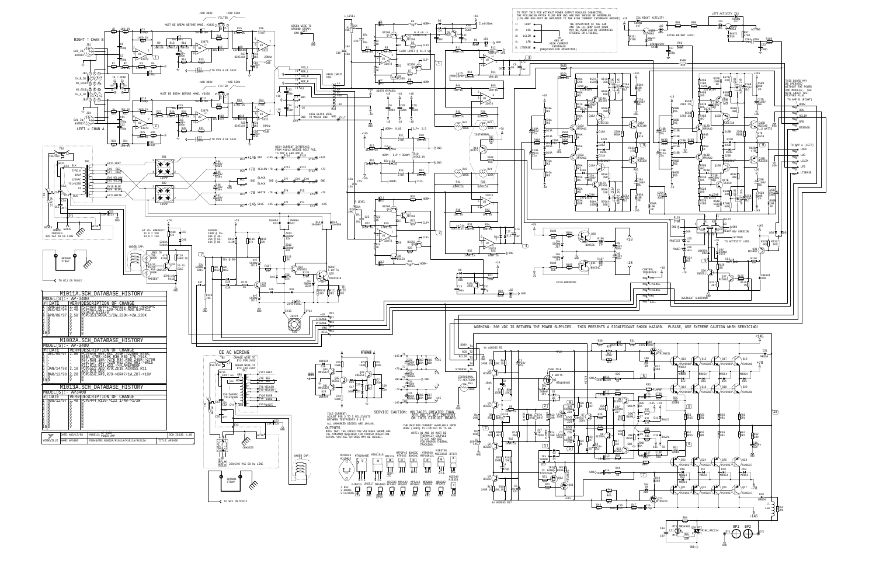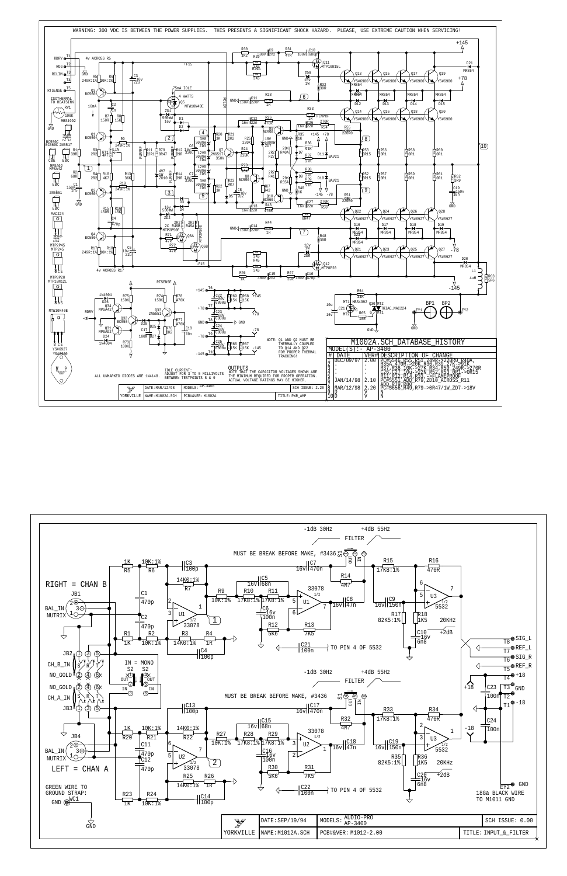

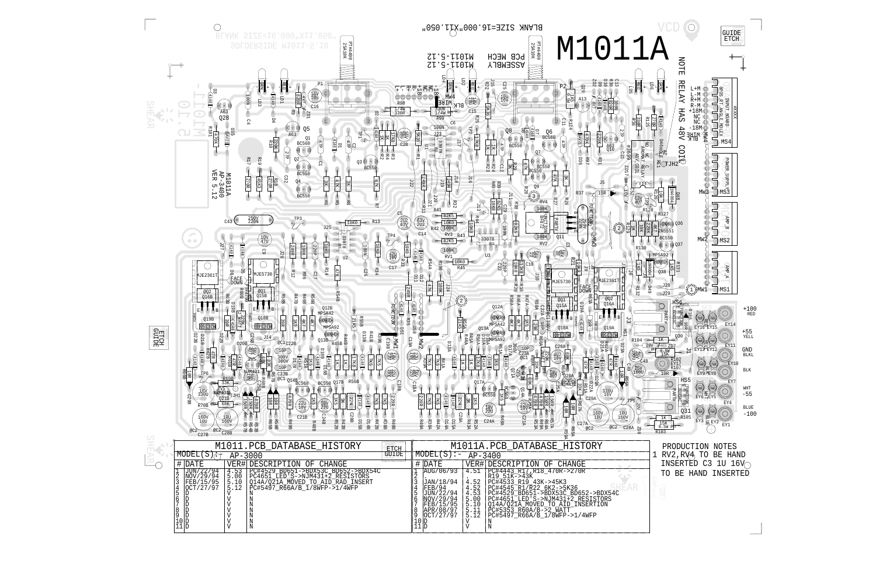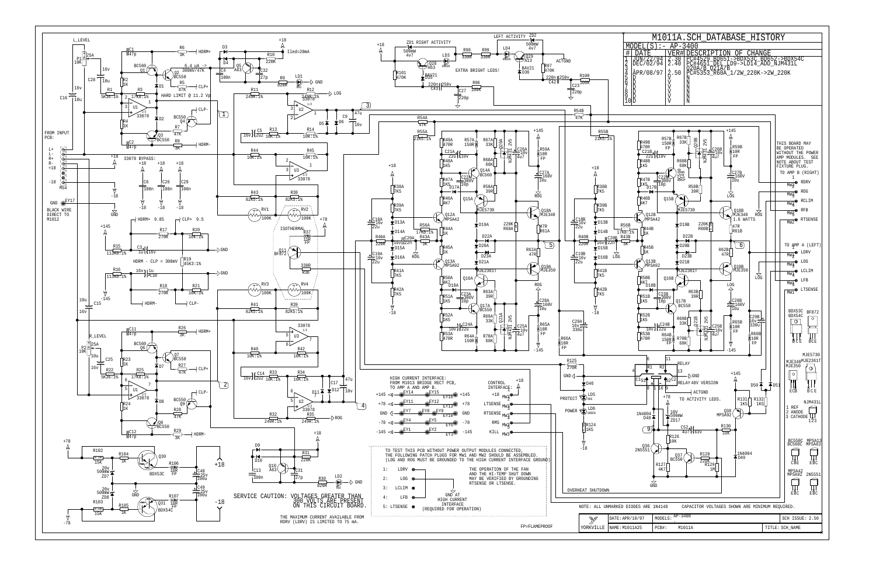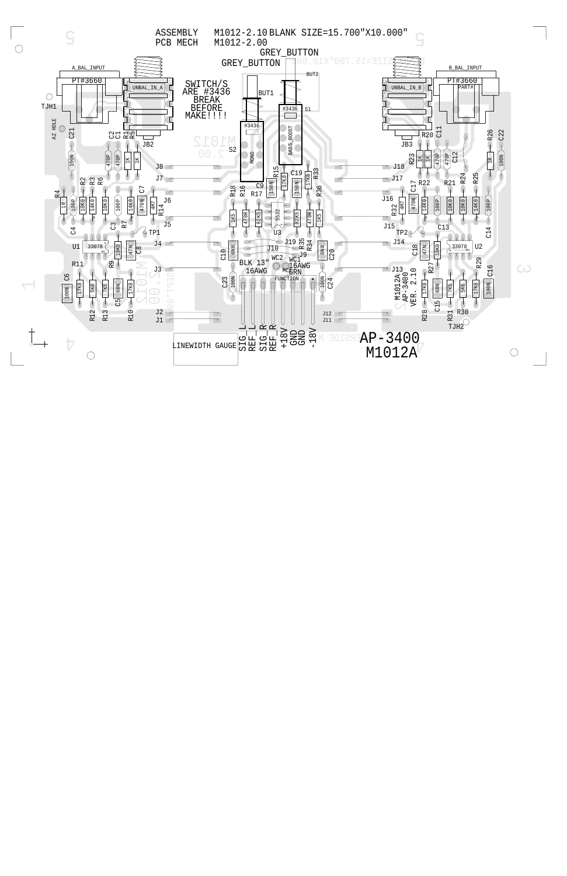